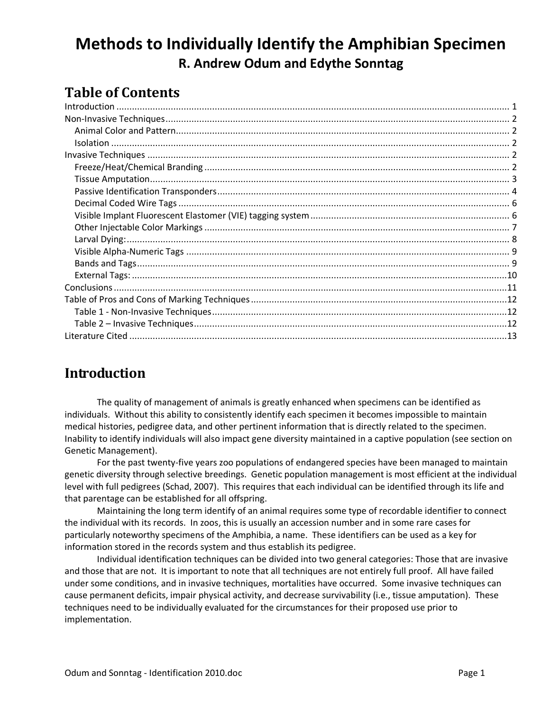# **Methods to Individually Identify the Amphibian Specimen R. Andrew Odum and Edythe Sonntag**

## **Table of Contents**

### <span id="page-0-0"></span>**Introduction**

The quality of management of animals is greatly enhanced when specimens can be identified as individuals. Without this ability to consistently identify each specimen it becomes impossible to maintain medical histories, pedigree data, and other pertinent information that is directly related to the specimen. Inability to identify individuals will also impact gene diversity maintained in a captive population (see section on Genetic Management).

For the past twenty-five years zoo populations of endangered species have been managed to maintain genetic diversity through selective breedings. Genetic population management is most efficient at the individual level with full pedigrees (Schad, 2007). This requires that each individual can be identified through its life and that parentage can be established for all offspring.

Maintaining the long term identify of an animal requires some type of recordable identifier to connect the individual with its records. In zoos, this is usually an accession number and in some rare cases for particularly noteworthy specimens of the Amphibia, a name. These identifiers can be used as a key for information stored in the records system and thus establish its pedigree.

Individual identification techniques can be divided into two general categories: Those that are invasive and those that are not. It is important to note that all techniques are not entirely full proof. All have failed under some conditions, and in invasive techniques, mortalities have occurred. Some invasive techniques can cause permanent deficits, impair physical activity, and decrease survivability (i.e., tissue amputation). These techniques need to be individually evaluated for the circumstances for their proposed use prior to implementation.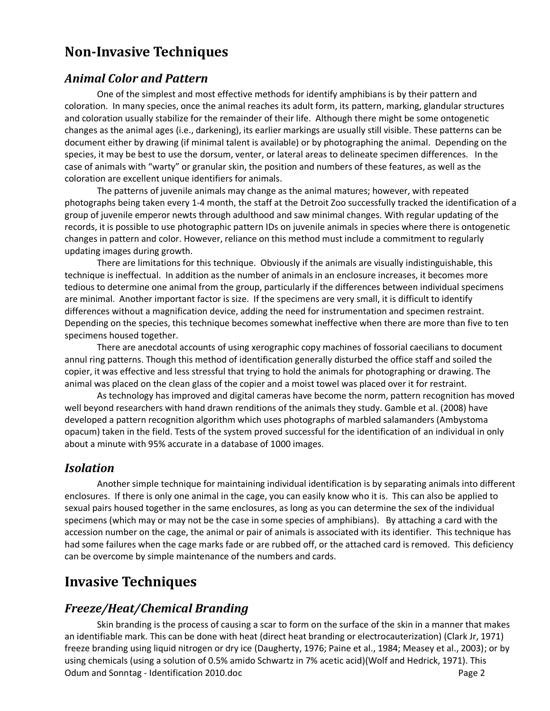### <span id="page-1-0"></span>**Non-Invasive Techniques**

#### <span id="page-1-1"></span>*Animal Color and Pattern*

One of the simplest and most effective methods for identify amphibians is by their pattern and coloration. In many species, once the animal reaches its adult form, its pattern, marking, glandular structures and coloration usually stabilize for the remainder of their life. Although there might be some ontogenetic changes as the animal ages (i.e., darkening), its earlier markings are usually still visible. These patterns can be document either by drawing (if minimal talent is available) or by photographing the animal. Depending on the species, it may be best to use the dorsum, venter, or lateral areas to delineate specimen differences. In the case of animals with "warty" or granular skin, the position and numbers of these features, as well as the coloration are excellent unique identifiers for animals.

The patterns of juvenile animals may change as the animal matures; however, with repeated photographs being taken every 1-4 month, the staff at the Detroit Zoo successfully tracked the identification of a group of juvenile emperor newts through adulthood and saw minimal changes. With regular updating of the records, it is possible to use photographic pattern IDs on juvenile animals in species where there is ontogenetic changes in pattern and color. However, reliance on this method must include a commitment to regularly updating images during growth.

There are limitations for this technique. Obviously if the animals are visually indistinguishable, this technique is ineffectual. In addition as the number of animals in an enclosure increases, it becomes more tedious to determine one animal from the group, particularly if the differences between individual specimens are minimal. Another important factor is size. If the specimens are very small, it is difficult to identify differences without a magnification device, adding the need for instrumentation and specimen restraint. Depending on the species, this technique becomes somewhat ineffective when there are more than five to ten specimens housed together.

There are anecdotal accounts of using xerographic copy machines of fossorial caecilians to document annul ring patterns. Though this method of identification generally disturbed the office staff and soiled the copier, it was effective and less stressful that trying to hold the animals for photographing or drawing. The animal was placed on the clean glass of the copier and a moist towel was placed over it for restraint.

As technology has improved and digital cameras have become the norm, pattern recognition has moved well beyond researchers with hand drawn renditions of the animals they study. Gamble et al. (2008) have developed a pattern recognition algorithm which uses photographs of marbled salamanders (Ambystoma opacum) taken in the field. Tests of the system proved successful for the identification of an individual in only about a minute with 95% accurate in a database of 1000 images.

#### <span id="page-1-2"></span>*Isolation*

Another simple technique for maintaining individual identification is by separating animals into different enclosures. If there is only one animal in the cage, you can easily know who it is. This can also be applied to sexual pairs housed together in the same enclosures, as long as you can determine the sex of the individual specimens (which may or may not be the case in some species of amphibians). By attaching a card with the accession number on the cage, the animal or pair of animals is associated with its identifier. This technique has had some failures when the cage marks fade or are rubbed off, or the attached card is removed. This deficiency can be overcome by simple maintenance of the numbers and cards.

### <span id="page-1-3"></span>**Invasive Techniques**

#### <span id="page-1-4"></span>*Freeze/Heat/Chemical Branding*

Odum and Sonntag - Identification 2010.doc Page 2 Skin branding is the process of causing a scar to form on the surface of the skin in a manner that makes an identifiable mark. This can be done with heat (direct heat branding or electrocauterization) (Clark Jr, 1971) freeze branding using liquid nitrogen or dry ice (Daugherty, 1976; Paine et al., 1984; Measey et al., 2003); or by using chemicals (using a solution of 0.5% amido Schwartz in 7% acetic acid)(Wolf and Hedrick, 1971). This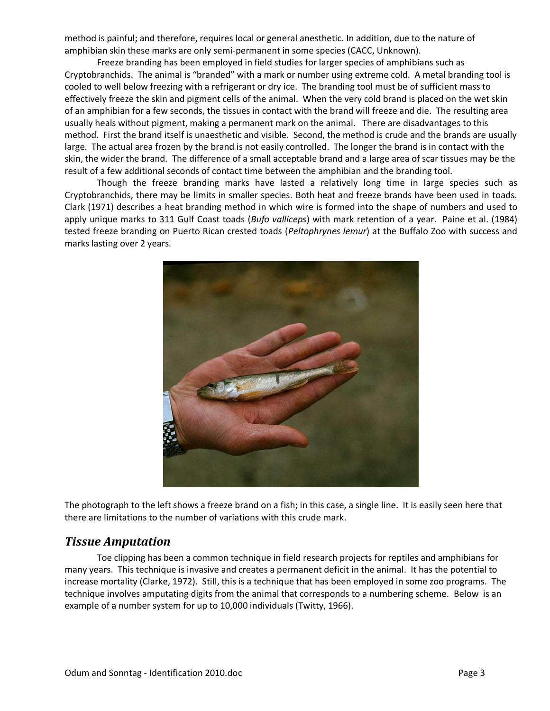method is painful; and therefore, requires local or general anesthetic. In addition, due to the nature of amphibian skin these marks are only semi-permanent in some species (CACC, Unknown).

Freeze branding has been employed in field studies for larger species of amphibians such as Cryptobranchids. The animal is "branded" with a mark or number using extreme cold. A metal branding tool is cooled to well below freezing with a refrigerant or dry ice. The branding tool must be of sufficient mass to effectively freeze the skin and pigment cells of the animal. When the very cold brand is placed on the wet skin of an amphibian for a few seconds, the tissues in contact with the brand will freeze and die. The resulting area usually heals without pigment, making a permanent mark on the animal. There are disadvantages to this method. First the brand itself is unaesthetic and visible. Second, the method is crude and the brands are usually large. The actual area frozen by the brand is not easily controlled. The longer the brand is in contact with the skin, the wider the brand. The difference of a small acceptable brand and a large area of scar tissues may be the result of a few additional seconds of contact time between the amphibian and the branding tool.

Though the freeze branding marks have lasted a relatively long time in large species such as Cryptobranchids, there may be limits in smaller species. Both heat and freeze brands have been used in toads. Clark (1971) describes a heat branding method in which wire is formed into the shape of numbers and used to apply unique marks to 311 Gulf Coast toads (*Bufo valliceps*) with mark retention of a year. Paine et al. (1984) tested freeze branding on Puerto Rican crested toads (*Peltophrynes lemur*) at the Buffalo Zoo with success and marks lasting over 2 years.



The photograph to the left shows a freeze brand on a fish; in this case, a single line. It is easily seen here that there are limitations to the number of variations with this crude mark.

#### <span id="page-2-0"></span>*Tissue Amputation*

Toe clipping has been a common technique in field research projects for reptiles and amphibians for many years. This technique is invasive and creates a permanent deficit in the animal. It has the potential to increase mortality (Clarke, 1972). Still, this is a technique that has been employed in some zoo programs. The technique involves amputating digits from the animal that corresponds to a numbering scheme. Below is an example of a number system for up to 10,000 individuals (Twitty, 1966).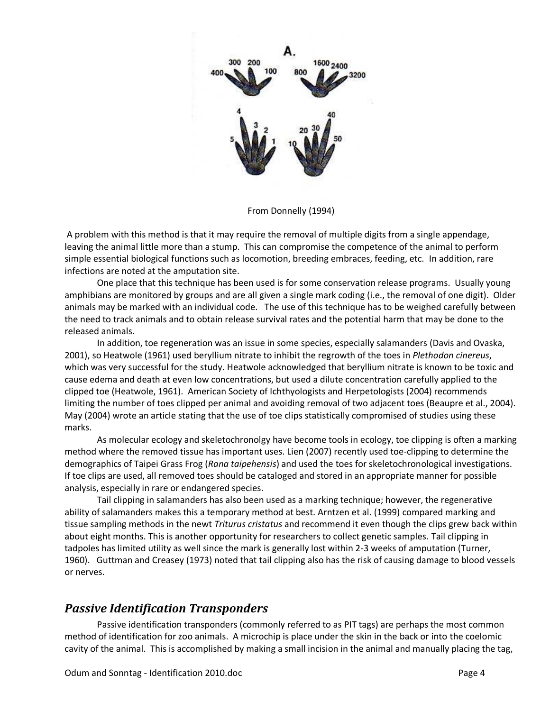

From Donnelly (1994)

A problem with this method is that it may require the removal of multiple digits from a single appendage, leaving the animal little more than a stump. This can compromise the competence of the animal to perform simple essential biological functions such as locomotion, breeding embraces, feeding, etc. In addition, rare infections are noted at the amputation site.

One place that this technique has been used is for some conservation release programs. Usually young amphibians are monitored by groups and are all given a single mark coding (i.e., the removal of one digit). Older animals may be marked with an individual code. The use of this technique has to be weighed carefully between the need to track animals and to obtain release survival rates and the potential harm that may be done to the released animals.

In addition, toe regeneration was an issue in some species, especially salamanders (Davis and Ovaska, 2001), so Heatwole (1961) used beryllium nitrate to inhibit the regrowth of the toes in *Plethodon cinereus*, which was very successful for the study. Heatwole acknowledged that beryllium nitrate is known to be toxic and cause edema and death at even low concentrations, but used a dilute concentration carefully applied to the clipped toe (Heatwole, 1961). American Society of Ichthyologists and Herpetologists (2004) recommends limiting the number of toes clipped per animal and avoiding removal of two adjacent toes (Beaupre et al., 2004). May (2004) wrote an article stating that the use of toe clips statistically compromised of studies using these marks.

As molecular ecology and skeletochronolgy have become tools in ecology, toe clipping is often a marking method where the removed tissue has important uses. Lien (2007) recently used toe-clipping to determine the demographics of Taipei Grass Frog (*Rana taipehensis*) and used the toes for skeletochronological investigations. If toe clips are used, all removed toes should be cataloged and stored in an appropriate manner for possible analysis, especially in rare or endangered species.

Tail clipping in salamanders has also been used as a marking technique; however, the regenerative ability of salamanders makes this a temporary method at best. Arntzen et al. (1999) compared marking and tissue sampling methods in the newt *Triturus cristatus* and recommend it even though the clips grew back within about eight months. This is another opportunity for researchers to collect genetic samples. Tail clipping in tadpoles has limited utility as well since the mark is generally lost within 2-3 weeks of amputation (Turner, 1960). Guttman and Creasey (1973) noted that tail clipping also has the risk of causing damage to blood vessels or nerves.

#### <span id="page-3-0"></span>*Passive Identification Transponders*

Passive identification transponders (commonly referred to as PIT tags) are perhaps the most common method of identification for zoo animals. A microchip is place under the skin in the back or into the coelomic cavity of the animal. This is accomplished by making a small incision in the animal and manually placing the tag,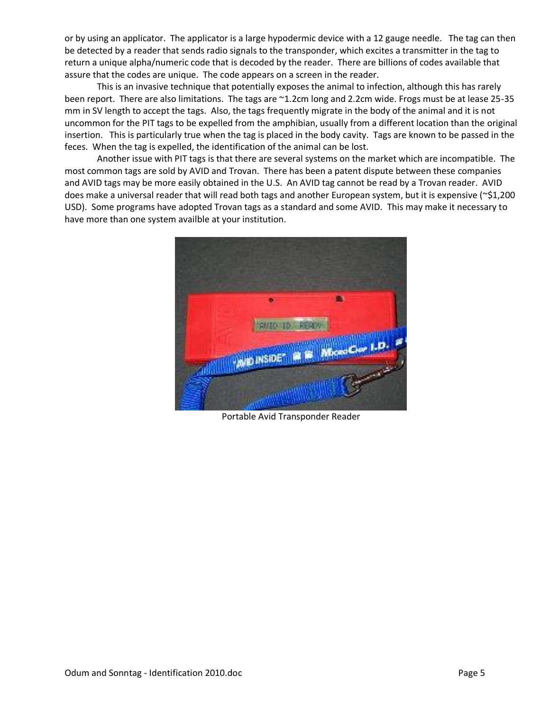or by using an applicator. The applicator is a large hypodermic device with a 12 gauge needle. The tag can then be detected by a reader that sends radio signals to the transponder, which excites a transmitter in the tag to return a unique alpha/numeric code that is decoded by the reader. There are billions of codes available that assure that the codes are unique. The code appears on a screen in the reader.

This is an invasive technique that potentially exposes the animal to infection, although this has rarely been report. There are also limitations. The tags are ~1.2cm long and 2.2cm wide. Frogs must be at lease 25-35 mm in SV length to accept the tags. Also, the tags frequently migrate in the body of the animal and it is not uncommon for the PIT tags to be expelled from the amphibian, usually from a different location than the original insertion. This is particularly true when the tag is placed in the body cavity. Tags are known to be passed in the feces. When the tag is expelled, the identification of the animal can be lost.

Another issue with PIT tags is that there are several systems on the market which are incompatible. The most common tags are sold by AVID and Trovan. There has been a patent dispute between these companies and AVID tags may be more easily obtained in the U.S. An AVID tag cannot be read by a Trovan reader. AVID does make a universal reader that will read both tags and another European system, but it is expensive (~\$1,200 USD). Some programs have adopted Trovan tags as a standard and some AVID. This may make it necessary to have more than one system availble at your institution.



Portable Avid Transponder Reader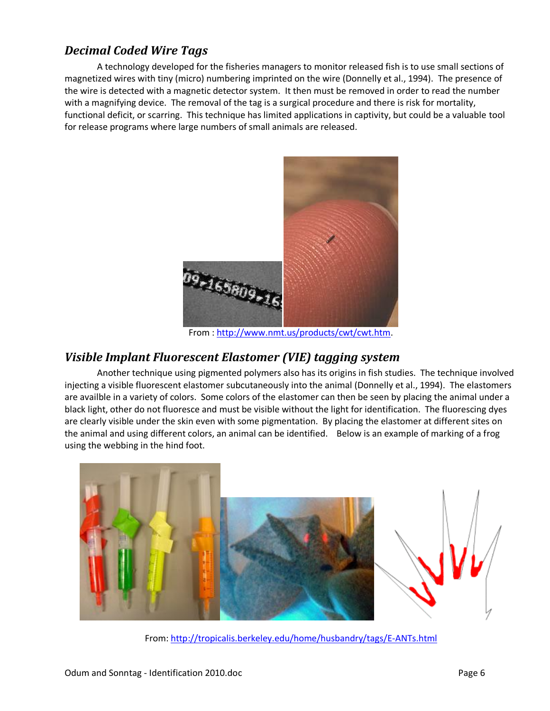#### <span id="page-5-0"></span>*Decimal Coded Wire Tags*

A technology developed for the fisheries managers to monitor released fish is to use small sections of magnetized wires with tiny (micro) numbering imprinted on the wire (Donnelly et al., 1994). The presence of the wire is detected with a magnetic detector system. It then must be removed in order to read the number with a magnifying device. The removal of the tag is a surgical procedure and there is risk for mortality, functional deficit, or scarring. This technique has limited applications in captivity, but could be a valuable tool for release programs where large numbers of small animals are released.



From : [http://www.nmt.us/products/cwt/cwt.htm.](http://www.nmt.us/products/cwt/cwt.htm)

#### <span id="page-5-1"></span>*Visible Implant Fluorescent Elastomer (VIE) tagging system*

Another technique using pigmented polymers also has its origins in fish studies. The technique involved injecting a visible fluorescent elastomer subcutaneously into the animal (Donnelly et al., 1994). The elastomers are availble in a variety of colors. Some colors of the elastomer can then be seen by placing the animal under a black light, other do not fluoresce and must be visible without the light for identification. The fluorescing dyes are clearly visible under the skin even with some pigmentation. By placing the elastomer at different sites on the animal and using different colors, an animal can be identified. Below is an example of marking of a frog using the webbing in the hind foot.



From:<http://tropicalis.berkeley.edu/home/husbandry/tags/E-ANTs.html>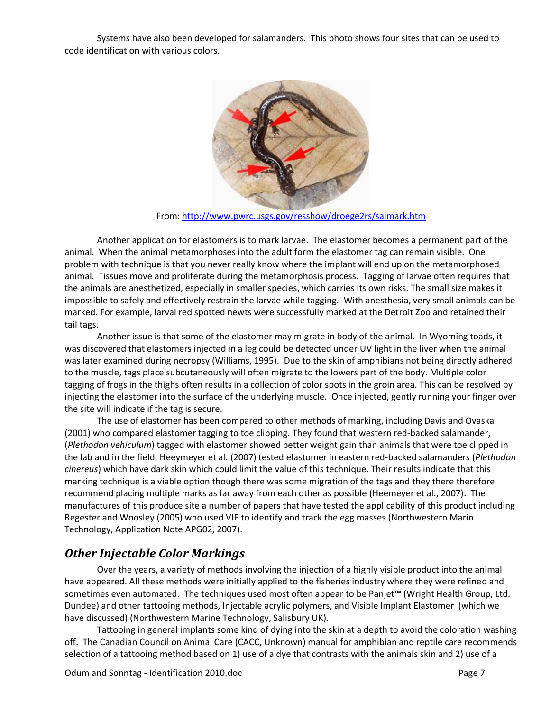Systems have also been developed for salamanders. This photo shows four sites that can be used to code identification with various colors.



From:<http://www.pwrc.usgs.gov/resshow/droege2rs/salmark.htm>

Another application for elastomers is to mark larvae. The elastomer becomes a permanent part of the animal. When the animal metamorphoses into the adult form the elastomer tag can remain visible. One problem with technique is that you never really know where the implant will end up on the metamorphosed animal. Tissues move and proliferate during the metamorphosis process. Tagging of larvae often requires that the animals are anesthetized, especially in smaller species, which carries its own risks. The small size makes it impossible to safely and effectively restrain the larvae while tagging. With anesthesia, very small animals can be marked. For example, larval red spotted newts were successfully marked at the Detroit Zoo and retained their tail tags.

Another issue is that some of the elastomer may migrate in body of the animal. In Wyoming toads, it was discovered that elastomers injected in a leg could be detected under UV light in the liver when the animal was later examined during necropsy (Williams, 1995). Due to the skin of amphibians not being directly adhered to the muscle, tags place subcutaneously will often migrate to the lowers part of the body. Multiple color tagging of frogs in the thighs often results in a collection of color spots in the groin area. This can be resolved by injecting the elastomer into the surface of the underlying muscle. Once injected, gently running your finger over the site will indicate if the tag is secure.

The use of elastomer has been compared to other methods of marking, including Davis and Ovaska (2001) who compared elastomer tagging to toe clipping. They found that western red-backed salamander, (*Plethodon vehiculum*) tagged with elastomer showed better weight gain than animals that were toe clipped in the lab and in the field. Heeymeyer et al. (2007) tested elastomer in eastern red-backed salamanders (*Plethodon cinereus*) which have dark skin which could limit the value of this technique. Their results indicate that this marking technique is a viable option though there was some migration of the tags and they there therefore recommend placing multiple marks as far away from each other as possible (Heemeyer et al., 2007). The manufactures of this produce site a number of papers that have tested the applicability of this product including Regester and Woosley (2005) who used VIE to identify and track the egg masses (Northwestern Marin Technology, Application Note APG02, 2007).

#### <span id="page-6-0"></span>*Other Injectable Color Markings*

Over the years, a variety of methods involving the injection of a highly visible product into the animal have appeared. All these methods were initially applied to the fisheries industry where they were refined and sometimes even automated. The techniques used most often appear to be Panjet™ (Wright Health Group, Ltd. Dundee) and other tattooing methods, Injectable acrylic polymers, and Visible Implant Elastomer (which we have discussed) (Northwestern Marine Technology, Salisbury UK).

Tattooing in general implants some kind of dying into the skin at a depth to avoid the coloration washing off. The Canadian Council on Animal Care (CACC, Unknown) manual for amphibian and reptile care recommends selection of a tattooing method based on 1) use of a dye that contrasts with the animals skin and 2) use of a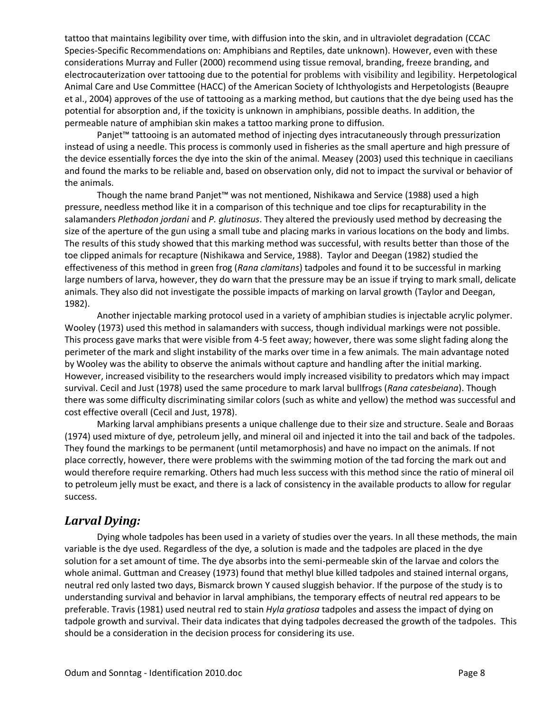tattoo that maintains legibility over time, with diffusion into the skin, and in ultraviolet degradation (CCAC Species-Specific Recommendations on: Amphibians and Reptiles, date unknown). However, even with these considerations Murray and Fuller (2000) recommend using tissue removal, branding, freeze branding, and electrocauterization over tattooing due to the potential for problems with visibility and legibility. Herpetological Animal Care and Use Committee (HACC) of the American Society of Ichthyologists and Herpetologists (Beaupre et al., 2004) approves of the use of tattooing as a marking method, but cautions that the dye being used has the potential for absorption and, if the toxicity is unknown in amphibians, possible deaths. In addition, the permeable nature of amphibian skin makes a tattoo marking prone to diffusion.

Panjet™ tattooing is an automated method of injecting dyes intracutaneously through pressurization instead of using a needle. This process is commonly used in fisheries as the small aperture and high pressure of the device essentially forces the dye into the skin of the animal. Measey (2003) used this technique in caecilians and found the marks to be reliable and, based on observation only, did not to impact the survival or behavior of the animals.

Though the name brand Panjet™ was not mentioned, Nishikawa and Service (1988) used a high pressure, needless method like it in a comparison of this technique and toe clips for recapturability in the salamanders *Plethodon jordani* and *P. glutinosus*. They altered the previously used method by decreasing the size of the aperture of the gun using a small tube and placing marks in various locations on the body and limbs. The results of this study showed that this marking method was successful, with results better than those of the toe clipped animals for recapture (Nishikawa and Service, 1988). Taylor and Deegan (1982) studied the effectiveness of this method in green frog (*Rana clamitans*) tadpoles and found it to be successful in marking large numbers of larva, however, they do warn that the pressure may be an issue if trying to mark small, delicate animals. They also did not investigate the possible impacts of marking on larval growth (Taylor and Deegan, 1982).

Another injectable marking protocol used in a variety of amphibian studies is injectable acrylic polymer. Wooley (1973) used this method in salamanders with success, though individual markings were not possible. This process gave marks that were visible from 4-5 feet away; however, there was some slight fading along the perimeter of the mark and slight instability of the marks over time in a few animals. The main advantage noted by Wooley was the ability to observe the animals without capture and handling after the initial marking. However, increased visibility to the researchers would imply increased visibility to predators which may impact survival. Cecil and Just (1978) used the same procedure to mark larval bullfrogs (*Rana catesbeiana*). Though there was some difficulty discriminating similar colors (such as white and yellow) the method was successful and cost effective overall (Cecil and Just, 1978).

Marking larval amphibians presents a unique challenge due to their size and structure. Seale and Boraas (1974) used mixture of dye, petroleum jelly, and mineral oil and injected it into the tail and back of the tadpoles. They found the markings to be permanent (until metamorphosis) and have no impact on the animals. If not place correctly, however, there were problems with the swimming motion of the tad forcing the mark out and would therefore require remarking. Others had much less success with this method since the ratio of mineral oil to petroleum jelly must be exact, and there is a lack of consistency in the available products to allow for regular success.

#### <span id="page-7-0"></span>*Larval Dying:*

Dying whole tadpoles has been used in a variety of studies over the years. In all these methods, the main variable is the dye used. Regardless of the dye, a solution is made and the tadpoles are placed in the dye solution for a set amount of time. The dye absorbs into the semi-permeable skin of the larvae and colors the whole animal. Guttman and Creasey (1973) found that methyl blue killed tadpoles and stained internal organs, neutral red only lasted two days, Bismarck brown Y caused sluggish behavior. If the purpose of the study is to understanding survival and behavior in larval amphibians, the temporary effects of neutral red appears to be preferable. Travis (1981) used neutral red to stain *Hyla gratiosa* tadpoles and assess the impact of dying on tadpole growth and survival. Their data indicates that dying tadpoles decreased the growth of the tadpoles. This should be a consideration in the decision process for considering its use.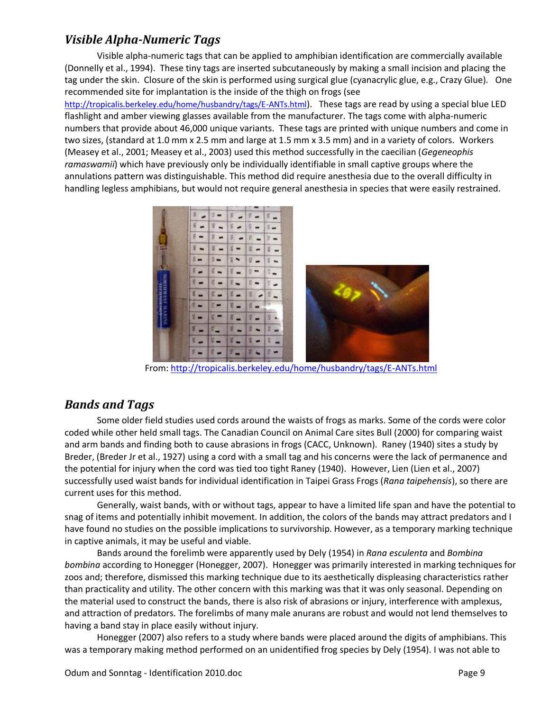#### <span id="page-8-0"></span>*Visible Alpha-Numeric Tags*

Visible alpha-numeric tags that can be applied to amphibian identification are commercially available (Donnelly et al., 1994). These tiny tags are inserted subcutaneously by making a small incision and placing the tag under the skin. Closure of the skin is performed using surgical glue (cyanacrylic glue, e.g., Crazy Glue). One recommended site for implantation is the inside of the thigh on frogs (see <http://tropicalis.berkeley.edu/home/husbandry/tags/E-ANTs.html>). These tags are read by using a special blue LED flashlight and amber viewing glasses available from the manufacturer. The tags come with alpha-numeric numbers that provide about 46,000 unique variants. These tags are printed with unique numbers and come in two sizes, (standard at 1.0 mm x 2.5 mm and large at 1.5 mm x 3.5 mm) and in a variety of colors. Workers

(Measey et al., 2001; Measey et al., 2003) used this method successfully in the caecilian (*Gegeneophis ramaswamii*) which have previously only be individually identifiable in small captive groups where the annulations pattern was distinguishable. This method did require anesthesia due to the overall difficulty in handling legless amphibians, but would not require general anesthesia in species that were easily restrained.



From:<http://tropicalis.berkeley.edu/home/husbandry/tags/E-ANTs.html>

#### <span id="page-8-1"></span>*Bands and Tags*

Some older field studies used cords around the waists of frogs as marks. Some of the cords were color coded while other held small tags. The Canadian Council on Animal Care sites Bull (2000) for comparing waist and arm bands and finding both to cause abrasions in frogs (CACC, Unknown). Raney (1940) sites a study by Breder, (Breder Jr et al., 1927) using a cord with a small tag and his concerns were the lack of permanence and the potential for injury when the cord was tied too tight Raney (1940). However, Lien (Lien et al., 2007) successfully used waist bands for individual identification in Taipei Grass Frogs (*Rana taipehensis*), so there are current uses for this method.

Generally, waist bands, with or without tags, appear to have a limited life span and have the potential to snag of items and potentially inhibit movement. In addition, the colors of the bands may attract predators and I have found no studies on the possible implications to survivorship. However, as a temporary marking technique in captive animals, it may be useful and viable.

Bands around the forelimb were apparently used by Dely (1954) in *Rana esculenta* and *Bombina bombina* according to Honegger (Honegger, 2007). Honegger was primarily interested in marking techniques for zoos and; therefore, dismissed this marking technique due to its aesthetically displeasing characteristics rather than practicality and utility. The other concern with this marking was that it was only seasonal. Depending on the material used to construct the bands, there is also risk of abrasions or injury, interference with amplexus, and attraction of predators. The forelimbs of many male anurans are robust and would not lend themselves to having a band stay in place easily without injury.

Honegger (2007) also refers to a study where bands were placed around the digits of amphibians. This was a temporary making method performed on an unidentified frog species by Dely (1954). I was not able to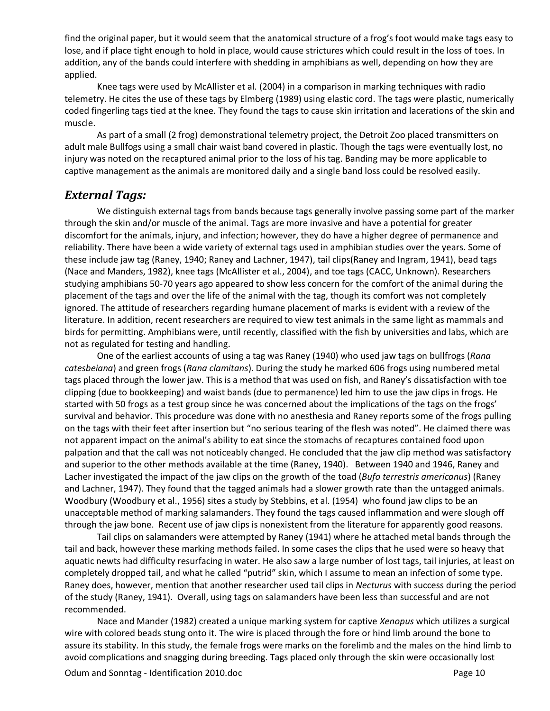find the original paper, but it would seem that the anatomical structure of a frog's foot would make tags easy to lose, and if place tight enough to hold in place, would cause strictures which could result in the loss of toes. In addition, any of the bands could interfere with shedding in amphibians as well, depending on how they are applied.

Knee tags were used by McAllister et al. (2004) in a comparison in marking techniques with radio telemetry. He cites the use of these tags by Elmberg (1989) using elastic cord. The tags were plastic, numerically coded fingerling tags tied at the knee. They found the tags to cause skin irritation and lacerations of the skin and muscle.

As part of a small (2 frog) demonstrational telemetry project, the Detroit Zoo placed transmitters on adult male Bullfogs using a small chair waist band covered in plastic. Though the tags were eventually lost, no injury was noted on the recaptured animal prior to the loss of his tag. Banding may be more applicable to captive management as the animals are monitored daily and a single band loss could be resolved easily.

#### <span id="page-9-0"></span>*External Tags:*

We distinguish external tags from bands because tags generally involve passing some part of the marker through the skin and/or muscle of the animal. Tags are more invasive and have a potential for greater discomfort for the animals, injury, and infection; however, they do have a higher degree of permanence and reliability. There have been a wide variety of external tags used in amphibian studies over the years. Some of these include jaw tag (Raney, 1940; Raney and Lachner, 1947), tail clips(Raney and Ingram, 1941), bead tags (Nace and Manders, 1982), knee tags (McAllister et al., 2004), and toe tags (CACC, Unknown). Researchers studying amphibians 50-70 years ago appeared to show less concern for the comfort of the animal during the placement of the tags and over the life of the animal with the tag, though its comfort was not completely ignored. The attitude of researchers regarding humane placement of marks is evident with a review of the literature. In addition, recent researchers are required to view test animals in the same light as mammals and birds for permitting. Amphibians were, until recently, classified with the fish by universities and labs, which are not as regulated for testing and handling.

One of the earliest accounts of using a tag was Raney (1940) who used jaw tags on bullfrogs (*Rana catesbeiana*) and green frogs (*Rana clamitans*). During the study he marked 606 frogs using numbered metal tags placed through the lower jaw. This is a method that was used on fish, and Raney's dissatisfaction with toe clipping (due to bookkeeping) and waist bands (due to permanence) led him to use the jaw clips in frogs. He started with 50 frogs as a test group since he was concerned about the implications of the tags on the frogs' survival and behavior. This procedure was done with no anesthesia and Raney reports some of the frogs pulling on the tags with their feet after insertion but "no serious tearing of the flesh was noted". He claimed there was not apparent impact on the animal's ability to eat since the stomachs of recaptures contained food upon palpation and that the call was not noticeably changed. He concluded that the jaw clip method was satisfactory and superior to the other methods available at the time (Raney, 1940). Between 1940 and 1946, Raney and Lacher investigated the impact of the jaw clips on the growth of the toad (*Bufo terrestris americanus*) (Raney and Lachner, 1947). They found that the tagged animals had a slower growth rate than the untagged animals. Woodbury (Woodbury et al., 1956) sites a study by Stebbins, et al. (1954) who found jaw clips to be an unacceptable method of marking salamanders. They found the tags caused inflammation and were slough off through the jaw bone. Recent use of jaw clips is nonexistent from the literature for apparently good reasons.

Tail clips on salamanders were attempted by Raney (1941) where he attached metal bands through the tail and back, however these marking methods failed. In some cases the clips that he used were so heavy that aquatic newts had difficulty resurfacing in water. He also saw a large number of lost tags, tail injuries, at least on completely dropped tail, and what he called "putrid" skin, which I assume to mean an infection of some type. Raney does, however, mention that another researcher used tail clips in *Necturus* with success during the period of the study (Raney, 1941). Overall, using tags on salamanders have been less than successful and are not recommended.

Nace and Mander (1982) created a unique marking system for captive *Xenopus* which utilizes a surgical wire with colored beads stung onto it. The wire is placed through the fore or hind limb around the bone to assure its stability. In this study, the female frogs were marks on the forelimb and the males on the hind limb to avoid complications and snagging during breeding. Tags placed only through the skin were occasionally lost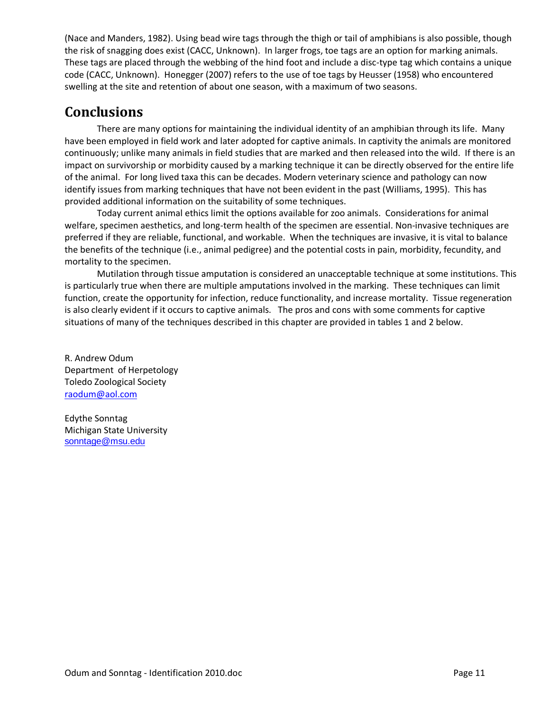(Nace and Manders, 1982). Using bead wire tags through the thigh or tail of amphibians is also possible, though the risk of snagging does exist (CACC, Unknown). In larger frogs, toe tags are an option for marking animals. These tags are placed through the webbing of the hind foot and include a disc-type tag which contains a unique code (CACC, Unknown). Honegger (2007) refers to the use of toe tags by Heusser (1958) who encountered swelling at the site and retention of about one season, with a maximum of two seasons.

### <span id="page-10-0"></span>**Conclusions**

There are many options for maintaining the individual identity of an amphibian through its life. Many have been employed in field work and later adopted for captive animals. In captivity the animals are monitored continuously; unlike many animals in field studies that are marked and then released into the wild. If there is an impact on survivorship or morbidity caused by a marking technique it can be directly observed for the entire life of the animal. For long lived taxa this can be decades. Modern veterinary science and pathology can now identify issues from marking techniques that have not been evident in the past (Williams, 1995). This has provided additional information on the suitability of some techniques.

Today current animal ethics limit the options available for zoo animals. Considerations for animal welfare, specimen aesthetics, and long-term health of the specimen are essential. Non-invasive techniques are preferred if they are reliable, functional, and workable. When the techniques are invasive, it is vital to balance the benefits of the technique (i.e., animal pedigree) and the potential costs in pain, morbidity, fecundity, and mortality to the specimen.

Mutilation through tissue amputation is considered an unacceptable technique at some institutions. This is particularly true when there are multiple amputations involved in the marking. These techniques can limit function, create the opportunity for infection, reduce functionality, and increase mortality. Tissue regeneration is also clearly evident if it occurs to captive animals. The pros and cons with some comments for captive situations of many of the techniques described in this chapter are provided in tables 1 and 2 below.

R. Andrew Odum Department of Herpetology Toledo Zoological Society [raodum@aol.com](mailto:raodum@aol.com)

Edythe Sonntag Michigan State University <sonntage@msu.edu>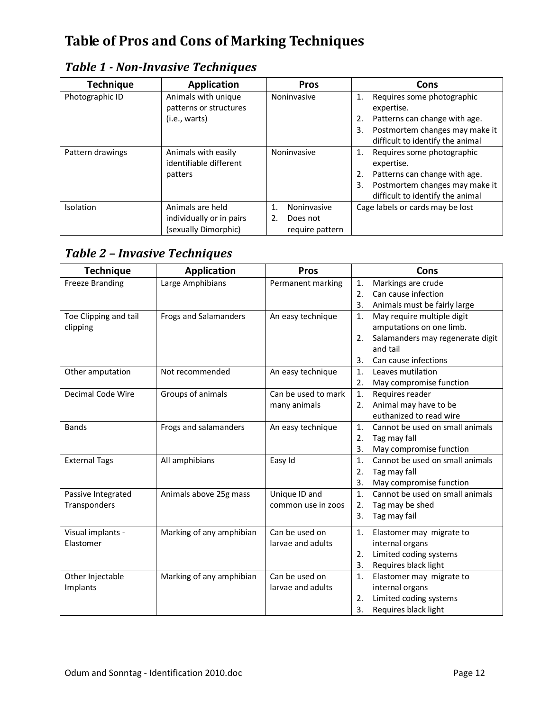# <span id="page-11-0"></span>**Table of Pros and Cons of Marking Techniques**

### <span id="page-11-1"></span>*Table 1 - Non-Invasive Techniques*

| <b>Technique</b> | <b>Application</b>                            | <b>Pros</b>       | Cons                                                                     |  |
|------------------|-----------------------------------------------|-------------------|--------------------------------------------------------------------------|--|
| Photographic ID  | Animals with unique<br>patterns or structures | Noninvasive       | Requires some photographic<br>1.<br>expertise.                           |  |
|                  | (i.e., warts)                                 |                   | Patterns can change with age.<br>2.                                      |  |
|                  |                                               |                   | Postmortem changes may make it<br>3.<br>difficult to identify the animal |  |
| Pattern drawings | Animals with easily<br>identifiable different | Noninvasive       | Requires some photographic<br>1.<br>expertise.                           |  |
|                  | patters                                       |                   | 2.<br>Patterns can change with age.                                      |  |
|                  |                                               |                   | Postmortem changes may make it<br>3.                                     |  |
|                  |                                               |                   | difficult to identify the animal                                         |  |
| Isolation        | Animals are held                              | 1.<br>Noninvasive | Cage labels or cards may be lost                                         |  |
|                  | individually or in pairs                      | 2.<br>Does not    |                                                                          |  |
|                  | (sexually Dimorphic)                          | require pattern   |                                                                          |  |

### <span id="page-11-2"></span>*Table 2 – Invasive Techniques*

| <b>Technique</b>       | <b>Application</b>           | <b>Pros</b>         |                | Cons                             |  |
|------------------------|------------------------------|---------------------|----------------|----------------------------------|--|
| <b>Freeze Branding</b> | Large Amphibians             | Permanent marking   | 1.             | Markings are crude               |  |
|                        |                              |                     | 2.             | Can cause infection              |  |
|                        |                              |                     | 3.             | Animals must be fairly large     |  |
| Toe Clipping and tail  | <b>Frogs and Salamanders</b> | An easy technique   | 1.             | May require multiple digit       |  |
| clipping               |                              |                     |                | amputations on one limb.         |  |
|                        |                              |                     | 2.             | Salamanders may regenerate digit |  |
|                        |                              |                     |                | and tail                         |  |
|                        |                              |                     | 3.             | Can cause infections             |  |
| Other amputation       | Not recommended              | An easy technique   | 1.             | Leaves mutilation                |  |
|                        |                              |                     | 2.             | May compromise function          |  |
| Decimal Code Wire      | Groups of animals            | Can be used to mark | 1.             | Requires reader                  |  |
|                        |                              | many animals        | 2.             | Animal may have to be            |  |
|                        |                              |                     |                | euthanized to read wire          |  |
| <b>Bands</b>           | Frogs and salamanders        | An easy technique   | 1.             | Cannot be used on small animals  |  |
|                        |                              |                     | 2.             | Tag may fall                     |  |
|                        |                              |                     | 3.             | May compromise function          |  |
| <b>External Tags</b>   | All amphibians               | Easy Id             | $\mathbf{1}$ . | Cannot be used on small animals  |  |
|                        |                              |                     | 2.             | Tag may fall                     |  |
|                        |                              |                     | 3.             | May compromise function          |  |
| Passive Integrated     | Animals above 25g mass       | Unique ID and       | $\mathbf{1}$ . | Cannot be used on small animals  |  |
| Transponders           |                              | common use in zoos  | 2.             | Tag may be shed                  |  |
|                        |                              |                     | 3.             | Tag may fail                     |  |
| Visual implants -      | Marking of any amphibian     | Can be used on      | 1.             | Elastomer may migrate to         |  |
| Elastomer              |                              | larvae and adults   |                | internal organs                  |  |
|                        |                              |                     | 2.             | Limited coding systems           |  |
|                        |                              |                     | 3.             | Requires black light             |  |
| Other Injectable       | Marking of any amphibian     | Can be used on      | 1.             | Elastomer may migrate to         |  |
| Implants               |                              | larvae and adults   |                | internal organs                  |  |
|                        |                              |                     | 2.             | Limited coding systems           |  |
|                        |                              |                     | 3.             | Requires black light             |  |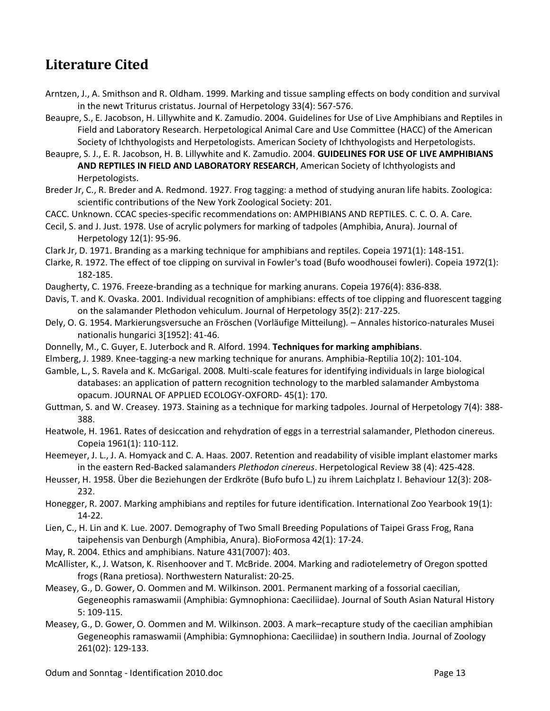### <span id="page-12-0"></span>**Literature Cited**

- Arntzen, J., A. Smithson and R. Oldham. 1999. Marking and tissue sampling effects on body condition and survival in the newt Triturus cristatus. Journal of Herpetology 33(4): 567-576.
- Beaupre, S., E. Jacobson, H. Lillywhite and K. Zamudio. 2004. Guidelines for Use of Live Amphibians and Reptiles in Field and Laboratory Research. Herpetological Animal Care and Use Committee (HACC) of the American Society of Ichthyologists and Herpetologists. American Society of Ichthyologists and Herpetologists.

Beaupre, S. J., E. R. Jacobson, H. B. Lillywhite and K. Zamudio. 2004. **GUIDELINES FOR USE OF LIVE AMPHIBIANS AND REPTILES IN FIELD AND LABORATORY RESEARCH**, American Society of Ichthyologists and Herpetologists.

Breder Jr, C., R. Breder and A. Redmond. 1927. Frog tagging: a method of studying anuran life habits. Zoologica: scientific contributions of the New York Zoological Society: 201.

CACC. Unknown. CCAC species-specific recommendations on: AMPHIBIANS AND REPTILES. C. C. O. A. Care.

- Cecil, S. and J. Just. 1978. Use of acrylic polymers for marking of tadpoles (Amphibia, Anura). Journal of Herpetology 12(1): 95-96.
- Clark Jr, D. 1971. Branding as a marking technique for amphibians and reptiles. Copeia 1971(1): 148-151.
- Clarke, R. 1972. The effect of toe clipping on survival in Fowler's toad (Bufo woodhousei fowleri). Copeia 1972(1): 182-185.
- Daugherty, C. 1976. Freeze-branding as a technique for marking anurans. Copeia 1976(4): 836-838.
- Davis, T. and K. Ovaska. 2001. Individual recognition of amphibians: effects of toe clipping and fluorescent tagging on the salamander Plethodon vehiculum. Journal of Herpetology 35(2): 217-225.
- Dely, O. G. 1954. Markierungsversuche an Fröschen (Vorläufige Mitteilung). Annales historico-naturales Musei nationalis hungarici 3[1952]: 41-46.
- Donnelly, M., C. Guyer, E. Juterbock and R. Alford. 1994. **Techniques for marking amphibians**.
- Elmberg, J. 1989. Knee-tagging-a new marking technique for anurans. Amphibia-Reptilia 10(2): 101-104.
- Gamble, L., S. Ravela and K. McGarigal. 2008. Multi-scale features for identifying individuals in large biological databases: an application of pattern recognition technology to the marbled salamander Ambystoma opacum. JOURNAL OF APPLIED ECOLOGY-OXFORD- 45(1): 170.
- Guttman, S. and W. Creasey. 1973. Staining as a technique for marking tadpoles. Journal of Herpetology 7(4): 388- 388.
- Heatwole, H. 1961. Rates of desiccation and rehydration of eggs in a terrestrial salamander, Plethodon cinereus. Copeia 1961(1): 110-112.
- Heemeyer, J. L., J. A. Homyack and C. A. Haas. 2007. Retention and readability of visible implant elastomer marks in the eastern Red-Backed salamanders *Plethodon cinereus*. Herpetological Review 38 (4): 425-428.
- Heusser, H. 1958. Über die Beziehungen der Erdkröte (Bufo bufo L.) zu ihrem Laichplatz I. Behaviour 12(3): 208- 232.
- Honegger, R. 2007. Marking amphibians and reptiles for future identification. International Zoo Yearbook 19(1): 14-22.
- Lien, C., H. Lin and K. Lue. 2007. Demography of Two Small Breeding Populations of Taipei Grass Frog, Rana taipehensis van Denburgh (Amphibia, Anura). BioFormosa 42(1): 17-24.
- May, R. 2004. Ethics and amphibians. Nature 431(7007): 403.
- McAllister, K., J. Watson, K. Risenhoover and T. McBride. 2004. Marking and radiotelemetry of Oregon spotted frogs (Rana pretiosa). Northwestern Naturalist: 20-25.
- Measey, G., D. Gower, O. Oommen and M. Wilkinson. 2001. Permanent marking of a fossorial caecilian, Gegeneophis ramaswamii (Amphibia: Gymnophiona: Caeciliidae). Journal of South Asian Natural History 5: 109-115.
- Measey, G., D. Gower, O. Oommen and M. Wilkinson. 2003. A mark–recapture study of the caecilian amphibian Gegeneophis ramaswamii (Amphibia: Gymnophiona: Caeciliidae) in southern India. Journal of Zoology 261(02): 129-133.